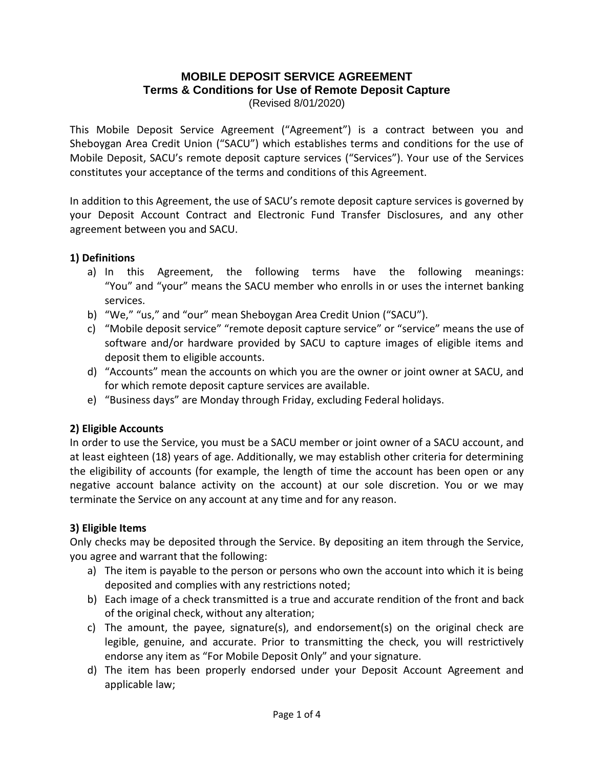#### **MOBILE DEPOSIT SERVICE AGREEMENT Terms & Conditions for Use of Remote Deposit Capture** (Revised 8/01/2020)

This Mobile Deposit Service Agreement ("Agreement") is a contract between you and Sheboygan Area Credit Union ("SACU") which establishes terms and conditions for the use of Mobile Deposit, SACU's remote deposit capture services ("Services"). Your use of the Services constitutes your acceptance of the terms and conditions of this Agreement.

In addition to this Agreement, the use of SACU's remote deposit capture services is governed by your Deposit Account Contract and Electronic Fund Transfer Disclosures, and any other agreement between you and SACU.

## **1) Definitions**

- a) In this Agreement, the following terms have the following meanings: "You" and "your" means the SACU member who enrolls in or uses the internet banking services.
- b) "We," "us," and "our" mean Sheboygan Area Credit Union ("SACU").
- c) "Mobile deposit service" "remote deposit capture service" or "service" means the use of software and/or hardware provided by SACU to capture images of eligible items and deposit them to eligible accounts.
- d) "Accounts" mean the accounts on which you are the owner or joint owner at SACU, and for which remote deposit capture services are available.
- e) "Business days" are Monday through Friday, excluding Federal holidays.

# **2) Eligible Accounts**

In order to use the Service, you must be a SACU member or joint owner of a SACU account, and at least eighteen (18) years of age. Additionally, we may establish other criteria for determining the eligibility of accounts (for example, the length of time the account has been open or any negative account balance activity on the account) at our sole discretion. You or we may terminate the Service on any account at any time and for any reason.

## **3) Eligible Items**

Only checks may be deposited through the Service. By depositing an item through the Service, you agree and warrant that the following:

- a) The item is payable to the person or persons who own the account into which it is being deposited and complies with any restrictions noted;
- b) Each image of a check transmitted is a true and accurate rendition of the front and back of the original check, without any alteration;
- c) The amount, the payee, signature(s), and endorsement(s) on the original check are legible, genuine, and accurate. Prior to transmitting the check, you will restrictively endorse any item as "For Mobile Deposit Only" and your signature.
- d) The item has been properly endorsed under your Deposit Account Agreement and applicable law;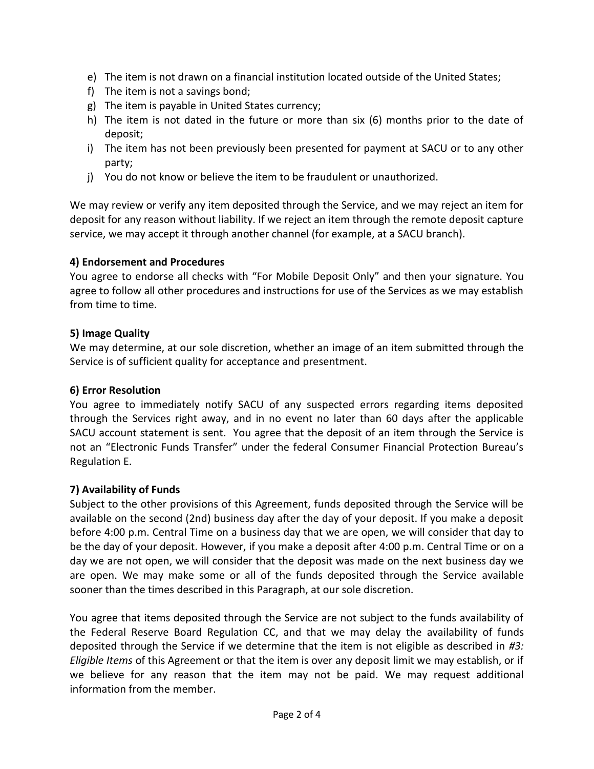- e) The item is not drawn on a financial institution located outside of the United States;
- f) The item is not a savings bond;
- g) The item is payable in United States currency;
- h) The item is not dated in the future or more than six (6) months prior to the date of deposit;
- i) The item has not been previously been presented for payment at SACU or to any other party;
- j) You do not know or believe the item to be fraudulent or unauthorized.

We may review or verify any item deposited through the Service, and we may reject an item for deposit for any reason without liability. If we reject an item through the remote deposit capture service, we may accept it through another channel (for example, at a SACU branch).

## **4) Endorsement and Procedures**

You agree to endorse all checks with "For Mobile Deposit Only" and then your signature. You agree to follow all other procedures and instructions for use of the Services as we may establish from time to time.

## **5) Image Quality**

We may determine, at our sole discretion, whether an image of an item submitted through the Service is of sufficient quality for acceptance and presentment.

## **6) Error Resolution**

You agree to immediately notify SACU of any suspected errors regarding items deposited through the Services right away, and in no event no later than 60 days after the applicable SACU account statement is sent. You agree that the deposit of an item through the Service is not an "Electronic Funds Transfer" under the federal Consumer Financial Protection Bureau's Regulation E.

## **7) Availability of Funds**

Subject to the other provisions of this Agreement, funds deposited through the Service will be available on the second (2nd) business day after the day of your deposit. If you make a deposit before 4:00 p.m. Central Time on a business day that we are open, we will consider that day to be the day of your deposit. However, if you make a deposit after 4:00 p.m. Central Time or on a day we are not open, we will consider that the deposit was made on the next business day we are open. We may make some or all of the funds deposited through the Service available sooner than the times described in this Paragraph, at our sole discretion.

You agree that items deposited through the Service are not subject to the funds availability of the Federal Reserve Board Regulation CC, and that we may delay the availability of funds deposited through the Service if we determine that the item is not eligible as described in *#3: Eligible Items* of this Agreement or that the item is over any deposit limit we may establish, or if we believe for any reason that the item may not be paid. We may request additional information from the member.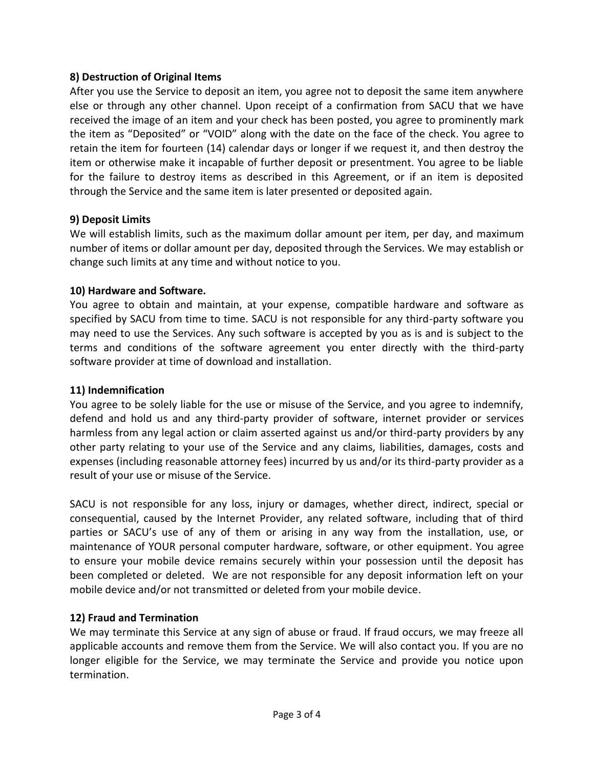## **8) Destruction of Original Items**

After you use the Service to deposit an item, you agree not to deposit the same item anywhere else or through any other channel. Upon receipt of a confirmation from SACU that we have received the image of an item and your check has been posted, you agree to prominently mark the item as "Deposited" or "VOID" along with the date on the face of the check. You agree to retain the item for fourteen (14) calendar days or longer if we request it, and then destroy the item or otherwise make it incapable of further deposit or presentment. You agree to be liable for the failure to destroy items as described in this Agreement, or if an item is deposited through the Service and the same item is later presented or deposited again.

## **9) Deposit Limits**

We will establish limits, such as the maximum dollar amount per item, per day, and maximum number of items or dollar amount per day, deposited through the Services. We may establish or change such limits at any time and without notice to you.

## **10) Hardware and Software.**

You agree to obtain and maintain, at your expense, compatible hardware and software as specified by SACU from time to time. SACU is not responsible for any third-party software you may need to use the Services. Any such software is accepted by you as is and is subject to the terms and conditions of the software agreement you enter directly with the third-party software provider at time of download and installation.

# **11) Indemnification**

You agree to be solely liable for the use or misuse of the Service, and you agree to indemnify, defend and hold us and any third-party provider of software, internet provider or services harmless from any legal action or claim asserted against us and/or third-party providers by any other party relating to your use of the Service and any claims, liabilities, damages, costs and expenses (including reasonable attorney fees) incurred by us and/or its third-party provider as a result of your use or misuse of the Service.

SACU is not responsible for any loss, injury or damages, whether direct, indirect, special or consequential, caused by the Internet Provider, any related software, including that of third parties or SACU's use of any of them or arising in any way from the installation, use, or maintenance of YOUR personal computer hardware, software, or other equipment. You agree to ensure your mobile device remains securely within your possession until the deposit has been completed or deleted. We are not responsible for any deposit information left on your mobile device and/or not transmitted or deleted from your mobile device.

# **12) Fraud and Termination**

We may terminate this Service at any sign of abuse or fraud. If fraud occurs, we may freeze all applicable accounts and remove them from the Service. We will also contact you. If you are no longer eligible for the Service, we may terminate the Service and provide you notice upon termination.